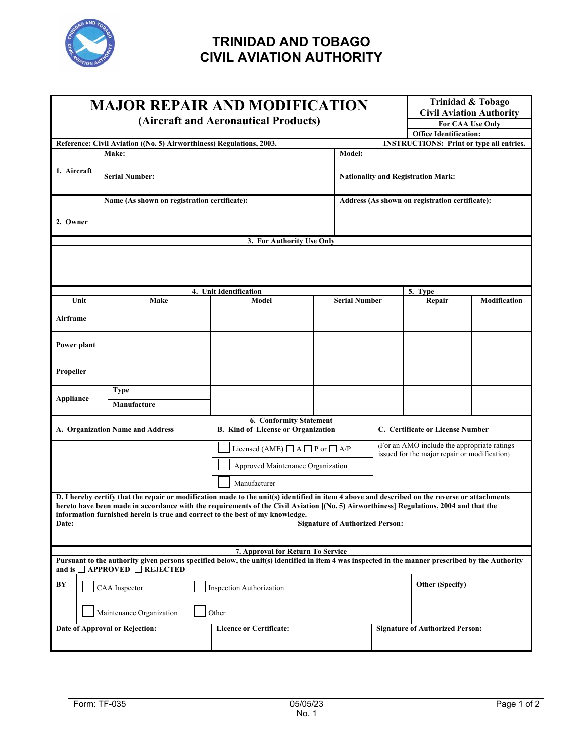

## **TRINIDAD AND TOBAGO CIVIL AVIATION AUTHORITY**

| <b>MAJOR REPAIR AND MODIFICATION</b><br>(Aircraft and Aeronautical Products)                                                                                                                |                                                                               |                          |                                                |  |                                                 |                                                 | <b>Trinidad &amp; Tobago</b><br><b>Civil Aviation Authority</b><br>For CAA Use Only |              |  |
|---------------------------------------------------------------------------------------------------------------------------------------------------------------------------------------------|-------------------------------------------------------------------------------|--------------------------|------------------------------------------------|--|-------------------------------------------------|-------------------------------------------------|-------------------------------------------------------------------------------------|--------------|--|
|                                                                                                                                                                                             |                                                                               |                          |                                                |  |                                                 | <b>Office Identification:</b>                   |                                                                                     |              |  |
|                                                                                                                                                                                             | Reference: Civil Aviation ((No. 5) Airworthiness) Regulations, 2003.<br>Make: |                          | Model:                                         |  |                                                 | <b>INSTRUCTIONS: Print or type all entries.</b> |                                                                                     |              |  |
|                                                                                                                                                                                             |                                                                               |                          |                                                |  |                                                 |                                                 |                                                                                     |              |  |
| 1. Aircraft                                                                                                                                                                                 | <b>Serial Number:</b>                                                         |                          |                                                |  | <b>Nationality and Registration Mark:</b>       |                                                 |                                                                                     |              |  |
|                                                                                                                                                                                             |                                                                               |                          |                                                |  |                                                 |                                                 |                                                                                     |              |  |
| Name (As shown on registration certificate):                                                                                                                                                |                                                                               |                          |                                                |  | Address (As shown on registration certificate): |                                                 |                                                                                     |              |  |
|                                                                                                                                                                                             |                                                                               |                          |                                                |  |                                                 |                                                 |                                                                                     |              |  |
| 2. Owner                                                                                                                                                                                    |                                                                               |                          |                                                |  |                                                 |                                                 |                                                                                     |              |  |
| 3. For Authority Use Only                                                                                                                                                                   |                                                                               |                          |                                                |  |                                                 |                                                 |                                                                                     |              |  |
|                                                                                                                                                                                             |                                                                               |                          |                                                |  |                                                 |                                                 |                                                                                     |              |  |
|                                                                                                                                                                                             |                                                                               |                          |                                                |  |                                                 |                                                 |                                                                                     |              |  |
|                                                                                                                                                                                             |                                                                               |                          |                                                |  |                                                 |                                                 |                                                                                     |              |  |
|                                                                                                                                                                                             |                                                                               |                          | 4. Unit Identification                         |  |                                                 |                                                 | 5. Type                                                                             |              |  |
| Unit                                                                                                                                                                                        | Make                                                                          |                          | Model                                          |  | <b>Serial Number</b>                            |                                                 | Repair                                                                              | Modification |  |
| Airframe                                                                                                                                                                                    |                                                                               |                          |                                                |  |                                                 |                                                 |                                                                                     |              |  |
|                                                                                                                                                                                             |                                                                               |                          |                                                |  |                                                 |                                                 |                                                                                     |              |  |
| Power plant                                                                                                                                                                                 |                                                                               |                          |                                                |  |                                                 |                                                 |                                                                                     |              |  |
|                                                                                                                                                                                             |                                                                               |                          |                                                |  |                                                 |                                                 |                                                                                     |              |  |
| Propeller                                                                                                                                                                                   |                                                                               |                          |                                                |  |                                                 |                                                 |                                                                                     |              |  |
|                                                                                                                                                                                             | <b>Type</b>                                                                   |                          |                                                |  |                                                 |                                                 |                                                                                     |              |  |
| Appliance                                                                                                                                                                                   | Manufacture                                                                   |                          |                                                |  |                                                 |                                                 |                                                                                     |              |  |
|                                                                                                                                                                                             |                                                                               |                          |                                                |  |                                                 |                                                 |                                                                                     |              |  |
| <b>6. Conformity Statement</b><br>C. Certificate or License Number<br>A. Organization Name and Address<br>B. Kind of License or Organization                                                |                                                                               |                          |                                                |  |                                                 |                                                 |                                                                                     |              |  |
|                                                                                                                                                                                             |                                                                               |                          |                                                |  |                                                 | (For an AMO include the appropriate ratings)    |                                                                                     |              |  |
|                                                                                                                                                                                             |                                                                               |                          | Licensed (AME) $\Box$ A $\Box$ P or $\Box$ A/P |  |                                                 | issued for the major repair or modification)    |                                                                                     |              |  |
|                                                                                                                                                                                             |                                                                               |                          | Approved Maintenance Organization              |  |                                                 |                                                 |                                                                                     |              |  |
|                                                                                                                                                                                             |                                                                               |                          | Manufacturer                                   |  |                                                 |                                                 |                                                                                     |              |  |
| D. I hereby certify that the repair or modification made to the unit(s) identified in item 4 above and described on the reverse or attachments                                              |                                                                               |                          |                                                |  |                                                 |                                                 |                                                                                     |              |  |
| hereto have been made in accordance with the requirements of the Civil Aviation [(No. 5) Airworthiness] Regulations, 2004 and that the                                                      |                                                                               |                          |                                                |  |                                                 |                                                 |                                                                                     |              |  |
| information furnished herein is true and correct to the best of my knowledge.<br>Date:<br><b>Signature of Authorized Person:</b>                                                            |                                                                               |                          |                                                |  |                                                 |                                                 |                                                                                     |              |  |
|                                                                                                                                                                                             |                                                                               |                          |                                                |  |                                                 |                                                 |                                                                                     |              |  |
| 7. Approval for Return To Service                                                                                                                                                           |                                                                               |                          |                                                |  |                                                 |                                                 |                                                                                     |              |  |
| Pursuant to the authority given persons specified below, the unit(s) identified in item 4 was inspected in the manner prescribed by the Authority<br>and is $\Box$ APPROVED $\Box$ REJECTED |                                                                               |                          |                                                |  |                                                 |                                                 |                                                                                     |              |  |
| BY                                                                                                                                                                                          | CAA Inspector                                                                 | Inspection Authorization |                                                |  |                                                 | <b>Other (Specify)</b>                          |                                                                                     |              |  |
|                                                                                                                                                                                             | Maintenance Organization                                                      |                          | Other                                          |  |                                                 |                                                 |                                                                                     |              |  |
| Date of Approval or Rejection:                                                                                                                                                              |                                                                               |                          | <b>Licence or Certificate:</b>                 |  |                                                 | <b>Signature of Authorized Person:</b>          |                                                                                     |              |  |
|                                                                                                                                                                                             |                                                                               |                          |                                                |  |                                                 |                                                 |                                                                                     |              |  |